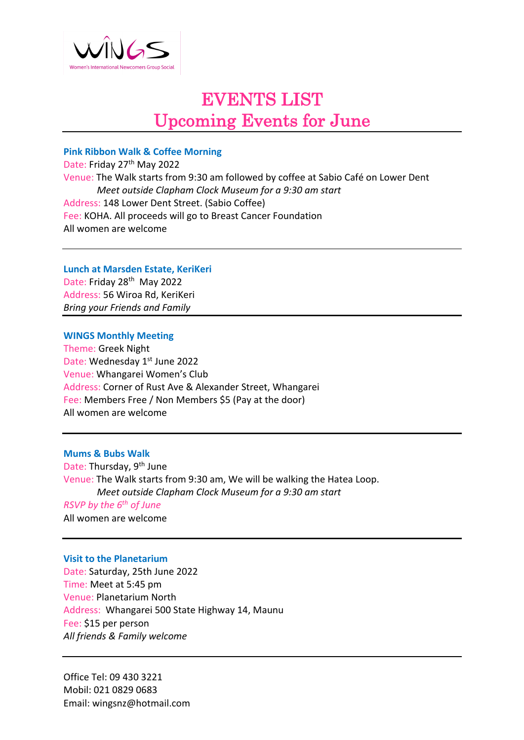

## EVENTS LIST Upcoming Events for June

### **Pink Ribbon Walk & Coffee Morning**

Date: Friday 27<sup>th</sup> May 2022 Venue: The Walk starts from 9:30 am followed by coffee at Sabio Café on Lower Dent  *Meet outside Clapham Clock Museum for a 9:30 am start* Address: 148 Lower Dent Street. (Sabio Coffee) Fee: KOHA. All proceeds will go to Breast Cancer Foundation All women are welcome

**Lunch at Marsden Estate, KeriKeri** Date: Friday 28<sup>th</sup> May 2022

Address: 56 Wiroa Rd, KeriKeri *Bring your Friends and Family*

**WINGS Monthly Meeting**

Theme: Greek Night Date: Wednesday 1st June 2022 Venue: Whangarei Women's Club Address: Corner of Rust Ave & Alexander Street, Whangarei Fee: Members Free / Non Members \$5 (Pay at the door) All women are welcome

**Mums & Bubs Walk**

Date: Thursday, 9th June Venue: The Walk starts from 9:30 am, We will be walking the Hatea Loop.  *Meet outside Clapham Clock Museum for a 9:30 am start RSVP by the 6th of June*

All women are welcome

#### **Visit to the Planetarium**

Date: Saturday, 25th June 2022 Time: Meet at 5:45 pm Venue: Planetarium North Address: Whangarei 500 State Highway 14, Maunu Fee: \$15 per person *All friends & Family welcome*

Office Tel: 09 430 3221 Mobil: 021 0829 0683 Email: wingsnz@hotmail.com